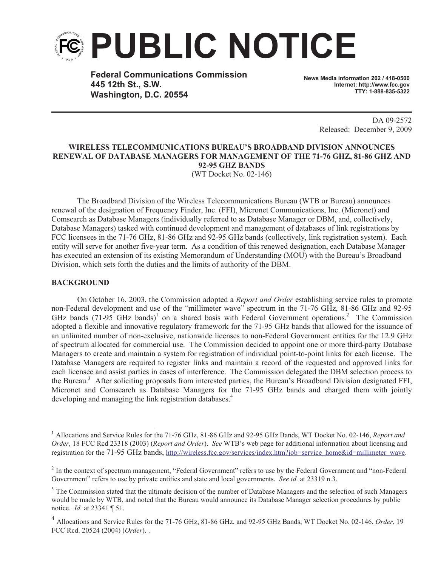

**Federal Communications Commission 445 12th St., S.W. Washington, D.C. 20554**

**News Media Information 202 / 418-0500 Internet: http://www.fcc.gov TTY: 1-888-835-5322**

> DA 09-2572 Released: December 9, 2009

## **WIRELESS TELECOMMUNICATIONS BUREAU'S BROADBAND DIVISION ANNOUNCES RENEWAL OF DATABASE MANAGERS FOR MANAGEMENT OF THE 71-76 GHZ, 81-86 GHZ AND 92-95 GHZ BANDS**

(WT Docket No. 02-146)

The Broadband Division of the Wireless Telecommunications Bureau (WTB or Bureau) announces renewal of the designation of Frequency Finder, Inc. (FFI), Micronet Communications, Inc. (Micronet) and Comsearch as Database Managers (individually referred to as Database Manager or DBM, and, collectively, Database Managers) tasked with continued development and management of databases of link registrations by FCC licensees in the 71-76 GHz, 81-86 GHz and 92-95 GHz bands (collectively, link registration system). Each entity will serve for another five-year term. As a condition of this renewed designation, each Database Manager has executed an extension of its existing Memorandum of Understanding (MOU) with the Bureau's Broadband Division, which sets forth the duties and the limits of authority of the DBM.

## **BACKGROUND**

On October 16, 2003, the Commission adopted a *Report and Order* establishing service rules to promote non-Federal development and use of the "millimeter wave" spectrum in the 71-76 GHz, 81-86 GHz and 92-95 GHz bands  $(71-95 \text{ GHz bands})$ <sup>1</sup> on a shared basis with Federal Government operations.<sup>2</sup> The Commission adopted a flexible and innovative regulatory framework for the 71-95 GHz bands that allowed for the issuance of an unlimited number of non-exclusive, nationwide licenses to non-Federal Government entities for the 12.9 GHz of spectrum allocated for commercial use. The Commission decided to appoint one or more third-party Database Managers to create and maintain a system for registration of individual point-to-point links for each license. The Database Managers are required to register links and maintain a record of the requested and approved links for each licensee and assist parties in cases of interference. The Commission delegated the DBM selection process to the Bureau.<sup>3</sup> After soliciting proposals from interested parties, the Bureau's Broadband Division designated FFI, Micronet and Comsearch as Database Managers for the 71-95 GHz bands and charged them with jointly developing and managing the link registration databases.<sup>4</sup>

<sup>1</sup> Allocations and Service Rules for the 71-76 GHz, 81-86 GHz and 92-95 GHz Bands, WT Docket No. 02-146, *Report and Order*, 18 FCC Rcd 23318 (2003) (*Report and Order*). *See* WTB's web page for additional information about licensing and registration for the 71-95 GHz bands, http://wireless.fcc.gov/services/index.htm?job=service\_home&id=millimeter\_wave.

<sup>&</sup>lt;sup>2</sup> In the context of spectrum management, "Federal Government" refers to use by the Federal Government and "non-Federal Government" refers to use by private entities and state and local governments. *See id.* at 23319 n.3.

<sup>&</sup>lt;sup>3</sup> The Commission stated that the ultimate decision of the number of Database Managers and the selection of such Managers would be made by WTB, and noted that the Bureau would announce its Database Manager selection procedures by public notice. *Id.* at 23341 ¶ 51.

<sup>4</sup> Allocations and Service Rules for the 71-76 GHz, 81-86 GHz, and 92-95 GHz Bands, WT Docket No. 02-146, *Order*, 19 FCC Rcd. 20524 (2004) (*Order*). .